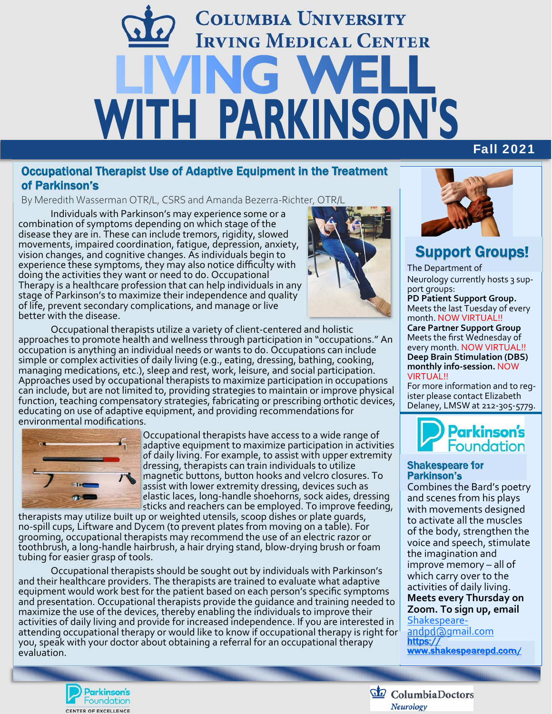# **COLUMBIA UNIVERSITY IRVING MEDICAL CENTER** NG W WITH PARKINSON'S

#### Occupational Therapist Use of Adaptive Equipment in the Treatment of Parkinson's

By Meredith Wasserman OTR/L, CSRS and Amanda Bezerra-Richter, OTR/L

Individuals with Parkinson's may experience some or a disease they are in. These can include tremors, rigidity, slowed movements, impaired coordination, fatigue, depression, anxiety, experience these symptoms, they may also notice difficulty with<br>doing the activities they want or need to do. Occupational Therapy is a healthcare profession that can help individuals in any stage of Parkinson's to maximize their independence and quality of life, prevent secondary complications, and manage or live<br>better with the disease.



Occupational therapists utilize <sup>a</sup> variety of client‐centered and holistic approaches to promote health and wellness through participation in "occupations." An occupation is anything an individual needs or wants to do. Occupations can include<br> simple or complex activities of daily living (e.g., eating, dressing, bathing, cooking, managing medications, etc.), sleep and rest, work, leisure, and social participation.<br>Approaches used by occupational therapists to maximize participation in occupations can include, but are not limited to, providing strategies to maintain or improve physical function, teaching compensatory strategies, fabricating or prescribing orthotic devices, educating on use of adaptive equipment, and providing recommendations for<br>environmental modifications.



Occupational therapists have access to a wide range of adaptive equipment to maximize participation in activities of daily living. For example, to assist with upper extremity  $\blacksquare$  magnetic buttons, button hooks and velcro closures. To assist with lower extremity dressing, devices such as<br>elastic laces, long-handle shoehorns, sock aides, dressing

sticks and reachers can be employed. To improve feeding,<br>therapists may utilize built up or weighted utensils, scoop dishes or plate quards, no-spill cups, Liftware and Dycem (to prevent plates from moving on a table). For grooming, occupational therapists may recommend the use of an electric razor or toothbrush, a long‐handle hairbrush, a hair drying stand, blow‐drying brush or foam tubing for easier grasp of tools.

Occupational therapists should be sought out by individuals with Parkinson's and their healthcare providers. The therapists are trained to evaluate what adaptive equipment would work best for the patient based on each person's specific symptoms and presentation. Occupational therapists provide the guidance and training needed to activities of daily living and provide for increased independence. If you are interested in attending occupational therapy or would like to know if occupational therapy is right for you, speak with your doctor about obtaining a referral for an occupational therapy̆<br>evaluation.



Fall 2021

## Support Groups!

The Department of Neurology currently hosts 3 sup‐ port groups: **PD Patient Support Group.**  Meets the last Tuesday of every month. NOW VIRTUAL!! **Care Partner Support Group**  Meets the first Wednesday of every month. NOW VIRTUAL!! **Deep Brain Stimulation (DBS) monthly info‐session.** NOW

VIRTUAL!!

For more information and to reg‐ ister please contact Elizabeth Delaney, LMSW at 212‐305‐5779.



#### Shakespeare for Parkinson's

Combines the Bard's poetry and scenes from his plays with movements designed to activate all the muscles of the body, strengthen the voice and speech, stimulate the imagination and improve memory – all of which carry over to the activities of daily living. **Meets every Thursday on Zoom. To sign up, email**  Shakespeare‐

andpd@gmail.com https:// www.shakespearepd.com/



ColumbiaDoctors Neurology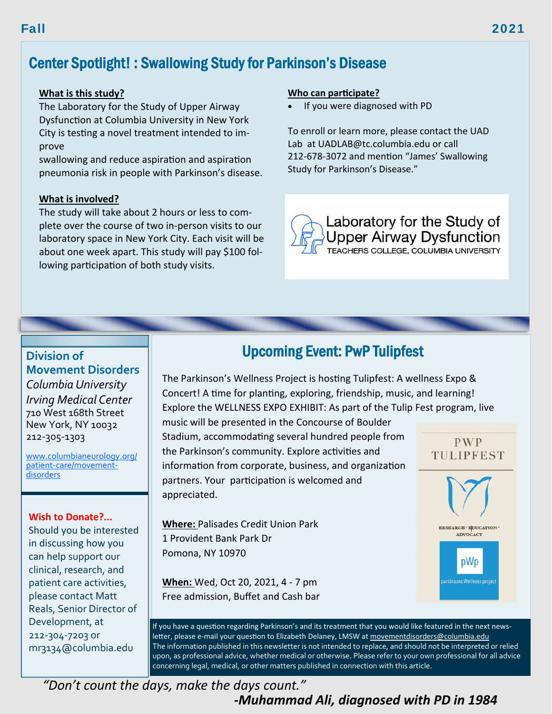## Center Spotlight! : Swallowing Study for Parkinson's Disease

#### **What is this study?**

The Laboratory for the Study of Upper Airway Dysfunction at Columbia University in New York City is testing a novel treatment intended to improve

swallowing and reduce aspiration and aspiration pneumonia risk in people with Parkinson's disease.

#### **What is involved?**

The study will take about 2 hours or less to complete over the course of two in-person visits to our laboratory space in New York City. Each visit will be about one week apart. This study will pay \$100 following participation of both study visits.

#### **Who can participate?**

If you were diagnosed with PD

To enroll or learn more, please contact the UAD Lab at UADLAB@tc.columbia.edu or call 212-678-3072 and mention "James' Swallowing Study for Parkinson's Disease."



### **Division of**

**Movement Disorders**  *Columbia University Irving Medical Center*  710 West 168th Street New York, NY 10032 212‐305‐1303

www.columbianeurology.org/ patient-care/movementdisorders

#### **Wish to Donate?...**

Should you be interested in discussing how you can help support our clinical, research, and patient care activities, please contact Matt Reals, Senior Director of Development, at 212‐304‐7203 or mr3134@columbia.edu

### Upcoming Event: PwP Tulipfest

The Parkinson's Wellness Project is hosting Tulipfest: A wellness Expo & Concert! A time for planting, exploring, friendship, music, and learning! Explore the WELLNESS EXPO EXHIBIT: As part of the Tulip Fest program, live

music will be presented in the Concourse of Boulder Stadium, accommodating several hundred people from the Parkinson's community. Explore activities and information from corporate, business, and organization partners. Your participation is welcomed and appreciated.

**Where:** Palisades Credit Union Park 1 Provident Bank Park Dr Pomona, NY 10970

**When:** Wed, Oct 20, 2021, 4 - 7 pm Free admission, Buffet and Cash bar



pWp

irkinsons Wellness pro

If you have a question regarding Parkinson's and its treatment that you would like featured in the next newsletter, please e-mail your question to Elizabeth Delaney, LMSW at movementdisorders@columbia.edu The information published in this newsletter is not intended to replace, and should not be interpreted or relied upon, as professional advice, whether medical or otherwise. Please refer to your own professional for all advice concerning legal, medical, or other matters published in connection with this article.

Fall 2021

*"Don't count the days, make the days count." ‐Muhammad Ali, diagnosed with PD in 1984*